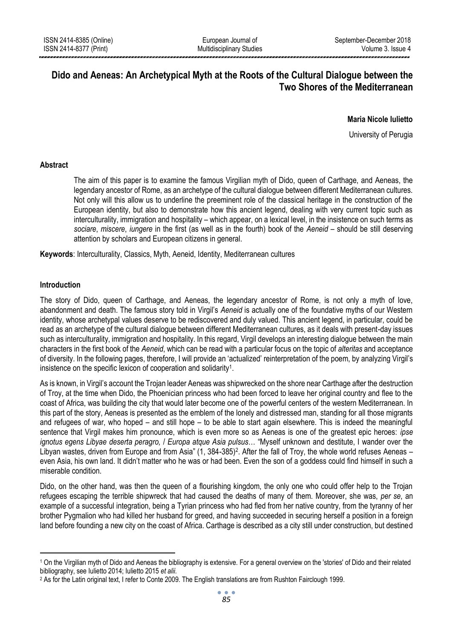# **Dido and Aeneas: An Archetypical Myth at the Roots of the Cultural Dialogue between the Two Shores of the Mediterranean**

## **Maria Nicole Iulietto**

University of Perugia

## **Abstract**

The aim of this paper is to examine the famous Virgilian myth of Dido, queen of Carthage, and Aeneas, the legendary ancestor of Rome, as an archetype of the cultural dialogue between different Mediterranean cultures. Not only will this allow us to underline the preeminent role of the classical heritage in the construction of the European identity, but also to demonstrate how this ancient legend, dealing with very current topic such as interculturality, immigration and hospitality – which appear, on a lexical level, in the insistence on such terms as *sociare*, *miscere*, *iungere* in the first (as well as in the fourth) book of the *Aeneid* – should be still deserving attention by scholars and European citizens in general.

**Keywords**: Interculturality, Classics, Myth, Aeneid, Identity, Mediterranean cultures

## **Introduction**

1

The story of Dido, queen of Carthage, and Aeneas, the legendary ancestor of Rome, is not only a myth of love, abandonment and death. The famous story told in Virgil's *Aeneid* is actually one of the foundative myths of our Western identity, whose archetypal values deserve to be rediscovered and duly valued. This ancient legend, in particular, could be read as an archetype of the cultural dialogue between different Mediterranean cultures, as it deals with present-day issues such as interculturality, immigration and hospitality. In this regard, Virgil develops an interesting dialogue between the main characters in the first book of the *Aeneid*, which can be read with a particular focus on the topic of *alteritas* and acceptance of diversity. In the following pages, therefore, I will provide an 'actualized' reinterpretation of the poem, by analyzing Virgil's insistence on the specific lexicon of cooperation and solidarity<sup>1</sup>.

As is known, in Virgil's account the Trojan leader Aeneas was shipwrecked on the shore near Carthage after the destruction of Troy, at the time when Dido, the Phoenician princess who had been forced to leave her original country and flee to the coast of Africa, was building the city that would later become one of the powerful centers of the western Mediterranean. In this part of the story, Aeneas is presented as the emblem of the lonely and distressed man, standing for all those migrants and refugees of war, who hoped – and still hope – to be able to start again elsewhere. This is indeed the meaningful sentence that Virgil makes him pronounce, which is even more so as Aeneas is one of the greatest epic heroes: *ipse ignotus egens Libyae deserta peragro,* / *Europa atque Asia pulsus*… "Myself unknown and destitute, I wander over the Libyan wastes, driven from Europe and from Asia" (1, 384-385)<sup>2</sup>. After the fall of Troy, the whole world refuses Aeneas – even Asia, his own land. It didn't matter who he was or had been. Even the son of a goddess could find himself in such a miserable condition.

Dido, on the other hand, was then the queen of a flourishing kingdom, the only one who could offer help to the Trojan refugees escaping the terrible shipwreck that had caused the deaths of many of them. Moreover, she was, *per se*, an example of a successful integration, being a Tyrian princess who had fled from her native country, from the tyranny of her brother Pygmalion who had killed her husband for greed, and having succeeded in securing herself a position in a foreign land before founding a new city on the coast of Africa. Carthage is described as a city still under construction, but destined

<sup>1</sup> On the Virgilian myth of Dido and Aeneas the bibliography is extensive. For a general overview on the 'stories' of Dido and their related bibliography, see Iulietto 2014; Iulietto 2015 *et alii*.

<sup>2</sup> As for the Latin original text, I refer to Conte 2009. The English translations are from Rushton Fairclough 1999.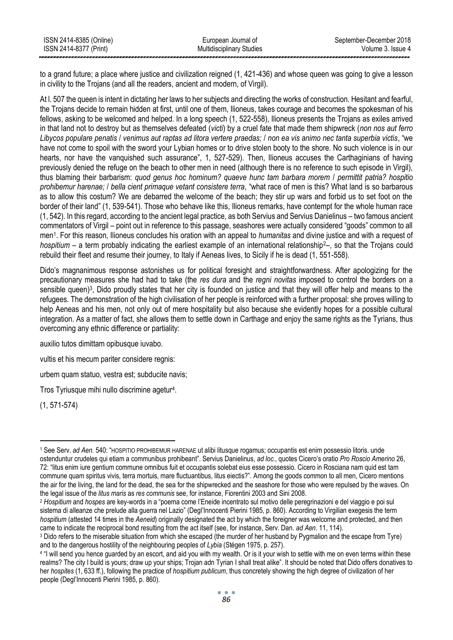| ISSN 2414-8385 (Online) | European Journal of              | September-December 2018 |
|-------------------------|----------------------------------|-------------------------|
| ISSN 2414-8377 (Print)  | <b>Multidisciplinary Studies</b> | Volume 3. Issue 4       |
|                         |                                  |                         |

to a grand future; a place where justice and civilization reigned (1, 421-436) and whose queen was going to give a lesson in civility to the Trojans (and all the readers, ancient and modern, of Virgil).

At l. 507 the queen is intent in dictating her laws to her subjects and directing the works of construction. Hesitant and fearful, the Trojans decide to remain hidden at first, until one of them, Ilioneus, takes courage and becomes the spokesman of his fellows, asking to be welcomed and helped. In a long speech (1, 522-558), Ilioneus presents the Trojans as exiles arrived in that land not to destroy but as themselves defeated (*victi*) by a cruel fate that made them shipwreck (*non nos aut ferro Libycos populare penatis* / *venimus aut raptas ad litora vertere praedas;* / *non ea vis animo nec tanta superbia victis*, "we have not come to spoil with the sword your Lybian homes or to drive stolen booty to the shore. No such violence is in our hearts, nor have the vanquished such assurance", 1, 527-529). Then, Ilioneus accuses the Carthaginians of having previously denied the refuge on the beach to other men in need (although there is no reference to such episode in Virgil), thus blaming their barbarism: *quod genus hoc hominum? quaeve hunc tam barbara morem* / *permittit patria? hospitio prohibemur harenae;* / *bella cient primaque vetant consistere terra*, "what race of men is this? What land is so barbarous as to allow this costum? We are debarred the welcome of the beach; they stir up wars and forbid us to set foot on the border of their land" (1, 539-541). Those who behave like this, Ilioneus remarks, have contempt for the whole human race (1, 542). In this regard, according to the ancient legal practice, as both Servius and Servius Danielinus – two famous ancient commentators of Virgil – point out in reference to this passage, seashores were actually considered "goods" common to all men<sup>1</sup>. For this reason, Ilioneus concludes his oration with an appeal to *humanitas* and divine justice and with a request of *hospitium* – a term probably indicating the earliest example of an international relationship<sup>2</sup>–, so that the Troians could rebuild their fleet and resume their journey, to Italy if Aeneas lives, to Sicily if he is dead (1, 551-558).

Dido's magnanimous response astonishes us for political foresight and straightforwardness. After apologizing for the precautionary measures she had had to take (the *res dura* and the *regni novitas* imposed to control the borders on a sensible queen)<sup>3</sup>, Dido proudly states that her city is founded on justice and that they will offer help and means to the refugees. The demonstration of the high civilisation of her people is reinforced with a further proposal: she proves willing to help Aeneas and his men, not only out of mere hospitality but also because she evidently hopes for a possible cultural integration. As a matter of fact, she allows them to settle down in Carthage and enjoy the same rights as the Tyrians, thus overcoming any ethnic difference or partiality:

auxilio tutos dimittam opibusque iuvabo.

vultis et his mecum pariter considere regnis:

urbem quam statuo, vestra est; subducite navis;

Tros Tyriusque mihi nullo discrimine agetur<sup>4</sup>.

(1, 571-574)

<sup>1</sup> <sup>1</sup> See Serv. *ad Aen.* 540: "HOSPITIO PROHIBEMUR HARENAE ut alibi litusque rogamus; occupantis est enim possessio litoris. unde ostenduntur crudeles qui etiam a communibus prohibeant". Servius Danielinus, *ad loc.*, quotes Cicero's oratio *Pro Roscio Amerino* 26, 72: "litus enim iure gentium commune omnibus fuit et occupantis solebat eius esse possessio. Cicero in Rosciana nam quid est tam commune quam spiritus vivis, terra mortuis, mare fluctuantibus, litus eiectis?". Among the goods common to all men, Cicero mentions the air for the living, the land for the dead, the sea for the shipwrecked and the seashore for those who were repulsed by the waves. On the legal issue of the *litus maris* as *res communis* see, for instance, Fiorentini 2003 and Sini 2008.

<sup>2</sup> *Hospitium* and *hospes* are key-words in a "poema come l'Eneide incentrato sul motivo delle peregrinazioni e del viaggio e poi sul sistema di alleanze che prelude alla guerra nel Lazio" (Degl'Innocenti Pierini 1985, p. 860). According to Virgilian exegesis the term *hospitium* (attested 14 times in the *Aeneid*) originally designated the act by which the foreigner was welcome and protected, and then came to indicate the reciprocal bond resulting from the act itself (see, for instance, Serv. Dan. *ad Aen*. 11, 114).

<sup>3</sup> Dido refers to the miserable situation from which she escaped (the murder of her husband by Pygmalion and the escape from Tyre) and to the dangerous hostility of the neighbouring peoples of *Lybia* (Stégen 1975, p. 257).

<sup>4</sup> "I will send you hence guarded by an escort, and aid you with my wealth. Or is it your wish to settle with me on even terms within these realms? The city I build is yours; draw up your ships; Trojan adn Tyrian I shall treat alike". It should be noted that Dido offers donatives to her *hospites* (1, 633 ff.), following the practice of *hospitium publicum*, thus concretely showing the high degree of civilization of her people (Degl'Innocenti Pierini 1985, p. 860).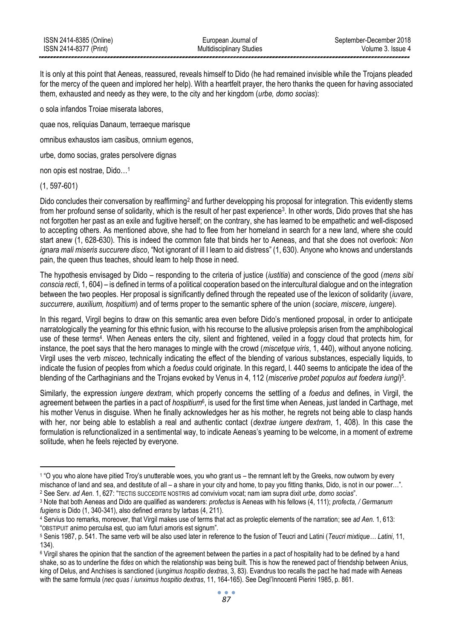It is only at this point that Aeneas, reassured, reveals himself to Dido (he had remained invisible while the Trojans pleaded for the mercy of the queen and implored her help). With a heartfelt prayer, the hero thanks the queen for having associated them, exhausted and needy as they were, to the city and her kingdom (*urbe, domo socias*):

o sola infandos Troiae miserata labores,

quae nos, reliquias Danaum, terraeque marisque

omnibus exhaustos iam casibus, omnium egenos,

urbe, domo socias, grates persolvere dignas

non opis est nostrae, Dido…<sup>1</sup>

(1, 597-601)

Dido concludes their conversation by reaffirming<sup>2</sup> and further developping his proposal for integration. This evidently stems from her profound sense of solidarity, which is the result of her past experience<sup>3</sup>. In other words, Dido proves that she has not forgotten her past as an exile and fugitive herself; on the contrary, she has learned to be empathetic and well-disposed to accepting others. As mentioned above, she had to flee from her homeland in search for a new land, where she could start anew (1, 628-630). This is indeed the common fate that binds her to Aeneas, and that she does not overlook: *Non ignara mali miseris succurere disco*, "Not ignorant of ill I learn to aid distress" (1, 630). Anyone who knows and understands pain, the queen thus teaches, should learn to help those in need.

The hypothesis envisaged by Dido – responding to the criteria of justice (*iustitia*) and conscience of the good (*mens sibi conscia recti*, 1, 604) – is defined in terms of a political cooperation based on the intercultural dialogue and on the integration between the two peoples. Her proposal is significantly defined through the repeated use of the lexicon of solidarity (*iuvare*, *succurrere*, *auxilium, hospitium*) and of terms proper to the semantic sphere of the union (*sociare*, *miscere*, *iungere*).

In this regard, Virgil begins to draw on this semantic area even before Dido's mentioned proposal, in order to anticipate narratologically the yearning for this ethnic fusion, with his recourse to the allusive prolepsis arisen from the amphibological use of these terms<sup>4</sup>. When Aeneas enters the city, silent and frightened, veiled in a foggy cloud that protects him, for instance, the poet says that the hero manages to mingle with the crowd (*miscetque viris*, 1, 440), without anyone noticing. Virgil uses the verb *misceo*, technically indicating the effect of the blending of various substances, especially liquids, to indicate the fusion of peoples from which a *foedus* could originate. In this regard, l. 440 seems to anticipate the idea of the blending of the Carthaginians and the Trojans evoked by Venus in 4, 112 (*miscerive probet populos aut foedera iungi*) 5 .

Similarly, the expression *iungere dextram*, which properly concerns the settling of a *foedus* and defines, in Virgil, the agreement between the parties in a pact of *hospitium*<sup>6</sup>, is used for the first time when Aeneas, just landed in Carthage, met his mother Venus in disguise. When he finally acknowledges her as his mother, he regrets not being able to clasp hands with her, nor being able to establish a real and authentic contact (*dextrae iungere dextram*, 1, 408). In this case the formulation is refunctionalized in a sentimental way, to indicate Aeneas's yearning to be welcome, in a moment of extreme solitude, when he feels rejected by everyone.

<sup>2</sup> See Serv. *ad Aen*. 1, 627: "TECTIS SUCCEDITE NOSTRIS ad convivium vocat; nam iam supra dixit *urbe, domo socias*".

 $\overline{a}$ 1 "O you who alone have pitied Troy's unutterable woes, you who grant us – the remnant left by the Greeks, now outworn by every mischance of land and sea, and destitute of all – a share in your city and home, to pay you fitting thanks, Dido, is not in our power…".

<sup>3</sup> Note that both Aeneas and Dido are qualified as wanderers: *profectus* is Aeneas with his fellows (4, 111); *profecta, / Germanum fugiens* is Dido (1, 340-341), also defined *errans* by Iarbas (4, 211).

<sup>4</sup> Servius too remarks, moreover, that Virgil makes use of terms that act as proleptic elements of the narration; see *ad Aen.* 1, 613: "OBSTIPUIT animo perculsa est, quo iam futuri amoris est signum".

<sup>5</sup> Senis 1987, p. 541. The same verb will be also used later in reference to the fusion of Teucri and Latini (*Teucri mixtique… Latini*, 11, 134).

<sup>&</sup>lt;sup>6</sup> Virgil shares the opinion that the sanction of the agreement between the parties in a pact of hospitality had to be defined by a hand shake, so as to underline the *fides* on which the relationship was being built. This is how the renewed pact of friendship between Anius, king of Delus, and Anchises is sanctioned (*iungimus hospitio dextras*, 3, 83). Evandrus too recalls the pact he had made with Aeneas with the same formula (*nec quas* / *iunximus hospitio dextras*, 11, 164-165). See Degl'Innocenti Pierini 1985, p. 861.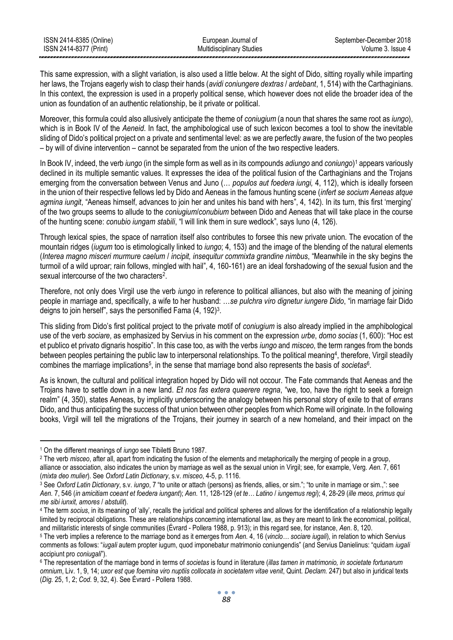| ISSN 2414-8385 (Online) | European Journal of              | September-December 2018 |
|-------------------------|----------------------------------|-------------------------|
| ISSN 2414-8377 (Print)  | <b>Multidisciplinary Studies</b> | Volume 3. Issue 4       |
|                         |                                  |                         |

This same expression, with a slight variation, is also used a little below. At the sight of Dido, sitting royally while imparting her laws, the Trojans eagerly wish to clasp their hands (*avidi coniungere dextras* / *ardebant*, 1, 514) with the Carthaginians. In this context, the expression is used in a properly political sense, which however does not elide the broader idea of the union as foundation of an authentic relationship, be it private or political.

Moreover, this formula could also allusively anticipate the theme of *coniugium* (a noun that shares the same root as *iungo*), which is in Book IV of the *Aeneid*. In fact, the amphibological use of such lexicon becomes a tool to show the inevitable sliding of Dido's political project on a private and sentimental level: as we are perfectly aware, the fusion of the two peoples – by will of divine intervention – cannot be separated from the union of the two respective leaders.

In Book IV, indeed, the verb *iungo* (in the simple form as well as in its compounds *adiungo* and *coniungo*) <sup>1</sup> appears variously declined in its multiple semantic values. It expresses the idea of the political fusion of the Carthaginians and the Trojans emerging from the conversation between Venus and Juno (… *populos aut foedera iungi,* 4, 112), which is ideally forseen in the union of their respective fellows led by Dido and Aeneas in the famous hunting scene (*infert se socium Aeneas atque agmina iungit*, "Aeneas himself, advances to join her and unites his band with hers", 4, 142). In its turn, this first 'merging' of the two groups seems to allude to the *coniugium*/*conubium* between Dido and Aeneas that will take place in the course of the hunting scene: *conubio iungam stabili*, "I will link them in sure wedlock", says Iuno (4, 126).

Through lexical spies, the space of narration itself also contributes to forsee this new private union. The evocation of the mountain ridges (*iugum* too is etimologically linked to *iungo*; 4, 153) and the image of the blending of the natural elements (*Interea magno misceri murmure caelum* / *incipit, insequitur commixta grandine nimbus*, "Meanwhile in the sky begins the turmoil of a wild uproar; rain follows, mingled with hail", 4, 160-161) are an ideal forshadowing of the sexual fusion and the sexual intercourse of the two characters<sup>2</sup>.

Therefore, not only does Virgil use the verb *iungo* in reference to political alliances, but also with the meaning of joining people in marriage and, specifically, a wife to her husband: …*se pulchra viro dignetur iungere Dido*, "in marriage fair Dido deigns to join herself", says the personified Fama  $(4, 192)^3$ .

This sliding from Dido's first political project to the private motif of *coniugium* is also already implied in the amphibological use of the verb *sociare*, as emphasized by Servius in his comment on the expression *urbe*, *domo socias* (1, 600): "Hoc est et publico et privato dignaris hospitio". In this case too, as with the verbs *iungo* and *misceo*, the term ranges from the bonds between peoples pertaining the public law to interpersonal relationships. To the political meaning<sup>4</sup>, therefore, Virgil steadily combines the marriage implications<sup>5</sup>, in the sense that marriage bond also represents the basis of *societas*<sup>6</sup>.

As is known, the cultural and political integration hoped by Dido will not occour. The Fate commands that Aeneas and the Trojans have to settle down in a new land. *Et nos fas extera quaerere regna*, "we, too, have the right to seek a foreign realm" (4, 350), states Aeneas, by implicitly underscoring the analogy between his personal story of exile to that of *errans* Dido, and thus anticipating the success of that union between other peoples from which Rome will originate. In the following books, Virgil will tell the migrations of the Trojans, their journey in search of a new homeland, and their impact on the

<sup>1</sup> <sup>1</sup> On the different meanings of *iungo* see Tibiletti Bruno 1987.

<sup>2</sup> The verb *misceo*, after all, apart from indicating the fusion of the elements and metaphorically the merging of people in a group, alliance or association, also indicates the union by marriage as well as the sexual union in Virgil; see, for example, Verg. *Aen.* 7, 661 (*mixta deo mulier*). See *Oxford Latin Dictionary*, s.v. *misceo*, 4-5, p. 1116.

<sup>3</sup> See *Oxford Latin Dictionary*, s.v. *iungo*, 7 "to unite or attach (persons) as friends, allies, or sim."; "to unite in marriage or sim.,": see *Aen.* 7, 546 (*in amicitiam coeant et foedera iungant*); *Aen.* 11, 128-129 (*et te… Latino* / *iungemus regi*); 4, 28-29 (*ille meos, primus qui me sibi iunxit, amores* / *abstulit*).

<sup>4</sup> The term *socius*, in its meaning of 'ally', recalls the juridical and political spheres and allows for the identification of a relationship legally limited by reciprocal obligations. These are relationships concerning international law, as they are meant to link the economical, political, and militaristic interests of single communities (Évrard - Pollera 1988, p. 913); in this regard see, for instance, *Aen*. 8, 120.

<sup>5</sup> The verb implies a reference to the marriage bond as it emerges from *Aen.* 4, 16 (*vinclo… sociare iugali*), in relation to which Servius comments as follows: "*iugali* autem propter iugum, quod imponebatur matrimonio coniungendis" (and Servius Danielinus: "quidam *iugali*  accipiunt pro *coniugali*").

<sup>6</sup> The representation of the marriage bond in terms of *societas* is found in literature (*illas tamen in matrimonio, in societate fortunarum omnium*, Liv. 1, 9, 14; *uxor est que foemina viro nuptiis collocata in societatem vitae venit*, Quint. *Declam.* 247) but also in juridical texts (*Dig.* 25, 1, 2; *Cod.* 9, 32, 4). See Évrard - Pollera 1988.